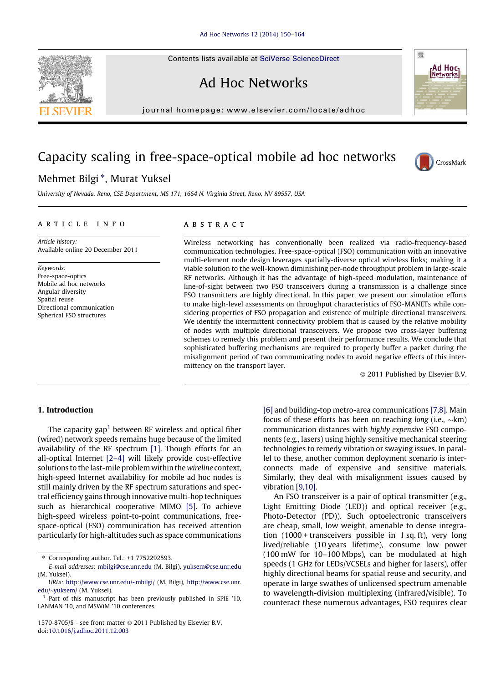Contents lists available at [SciVerse ScienceDirect](http://www.sciencedirect.com/science/journal/15708705)



journal homepage: [www.elsevier.com/locate/adhoc](http://www.elsevier.com/locate/adhoc)

## Capacity scaling in free-space-optical mobile ad hoc networks

### Mehmet Bilgi<sup>\*</sup>, Murat Yuksel

University of Nevada, Reno, CSE Department, MS 171, 1664 N. Virginia Street, Reno, NV 89557, USA

#### article info

Article history: Available online 20 December 2011

Keywords: Free-space-optics Mobile ad hoc networks Angular diversity Spatial reuse Directional communication Spherical FSO structures

#### **ABSTRACT**

Wireless networking has conventionally been realized via radio-frequency-based communication technologies. Free-space-optical (FSO) communication with an innovative multi-element node design leverages spatially-diverse optical wireless links; making it a viable solution to the well-known diminishing per-node throughput problem in large-scale RF networks. Although it has the advantage of high-speed modulation, maintenance of line-of-sight between two FSO transceivers during a transmission is a challenge since FSO transmitters are highly directional. In this paper, we present our simulation efforts to make high-level assessments on throughput characteristics of FSO-MANETs while considering properties of FSO propagation and existence of multiple directional transceivers. We identify the intermittent connectivity problem that is caused by the relative mobility of nodes with multiple directional transceivers. We propose two cross-layer buffering schemes to remedy this problem and present their performance results. We conclude that sophisticated buffering mechanisms are required to properly buffer a packet during the misalignment period of two communicating nodes to avoid negative effects of this intermittency on the transport layer.

© 2011 Published by Elsevier B.V.

#### 1. Introduction

The capacity gap<sup>1</sup> between RF wireless and optical fiber (wired) network speeds remains huge because of the limited availability of the RF spectrum [\[1\]](#page--1-0). Though efforts for an all-optical Internet [\[2–4\]](#page--1-0) will likely provide cost-effective solutions to the last-mile problem within the wireline context, high-speed Internet availability for mobile ad hoc nodes is still mainly driven by the RF spectrum saturations and spectral efficiency gains through innovative multi-hop techniques such as hierarchical cooperative MIMO [\[5\].](#page--1-0) To achieve high-speed wireless point-to-point communications, freespace-optical (FSO) communication has received attention particularly for high-altitudes such as space communications

Corresponding author. Tel.: +1 7752292593.

 $1570-8705/\$  - see front matter  $\odot$  2011 Published by Elsevier B.V. doi[:10.1016/j.adhoc.2011.12.003](http://dx.doi.org/10.1016/j.adhoc.2011.12.003)

[\[6\]](#page--1-0) and building-top metro-area communications [\[7,8\].](#page--1-0) Main focus of these efforts has been on reaching long (i.e.,  $\sim$ km) communication distances with highly expensive FSO components (e.g., lasers) using highly sensitive mechanical steering technologies to remedy vibration or swaying issues. In parallel to these, another common deployment scenario is interconnects made of expensive and sensitive materials. Similarly, they deal with misalignment issues caused by vibration [\[9,10\]](#page--1-0).

An FSO transceiver is a pair of optical transmitter (e.g., Light Emitting Diode (LED)) and optical receiver (e.g., Photo-Detector (PD)). Such optoelectronic transceivers are cheap, small, low weight, amenable to dense integration (1000 + transceivers possible in 1 sq. ft), very long lived/reliable (10 years lifetime), consume low power (100 mW for 10–100 Mbps), can be modulated at high speeds (1 GHz for LEDs/VCSELs and higher for lasers), offer highly directional beams for spatial reuse and security, and operate in large swathes of unlicensed spectrum amenable to wavelength-division multiplexing (infrared/visible). To counteract these numerous advantages, FSO requires clear





**Ad Hoc<sub>l</sub>**<br>INetworksl

嚮

E-mail addresses: [mbilgi@cse.unr.edu](mailto:mbilgi@cse.unr.edu) (M. Bilgi), [yuksem@cse.unr.edu](mailto:yuksem@cse.unr.edu) (M. Yuksel).

URLs: <http://www.cse.unr.edu/~mbilgi/> (M. Bilgi), [http://www.cse.unr.](http://www.cse.unr.edu/~yuksem/) [edu/~yuksem/](http://www.cse.unr.edu/~yuksem/) (M. Yuksel).

 $1$  Part of this manuscript has been previously published in SPIE '10, LANMAN '10, and MSWiM '10 conferences.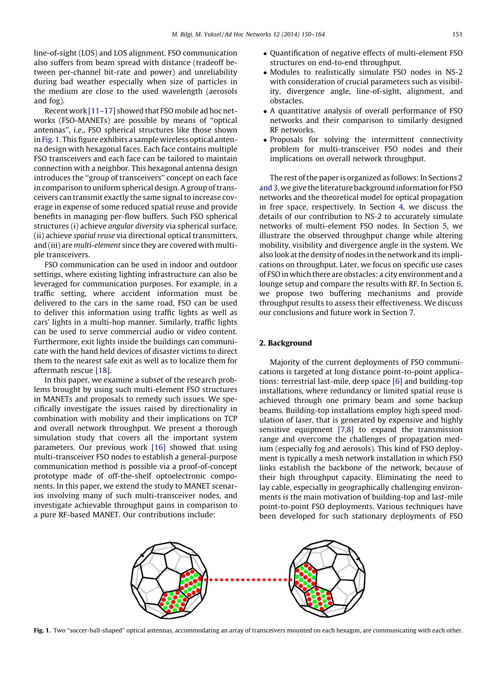line-of-sight (LOS) and LOS alignment. FSO communication also suffers from beam spread with distance (tradeoff between per-channel bit-rate and power) and unreliability during bad weather especially when size of particles in the medium are close to the used wavelength (aerosols and fog).

Recent work [\[11–17\]](#page--1-0) showed that FSO mobile ad hoc networks (FSO-MANETs) are possible by means of ''optical antennas'', i.e., FSO spherical structures like those shown in Fig. 1. This figure exhibits a sample wireless optical antenna design with hexagonal faces. Each face contains multiple FSO transceivers and each face can be tailored to maintain connection with a neighbor. This hexagonal antenna design introduces the ''group of transceivers'' concept on each face in comparison to uniform spherical design. A group of transceivers can transmit exactly the same signal to increase coverage in expense of some reduced spatial reuse and provide benefits in managing per-flow buffers. Such FSO spherical structures (i) achieve angular diversity via spherical surface, (ii) achieve spatial reuse via directional optical transmitters, and (iii) are multi-element since they are covered with multiple transceivers.

FSO communication can be used in indoor and outdoor settings, where existing lighting infrastructure can also be leveraged for communication purposes. For example, in a traffic setting, where accident information must be delivered to the cars in the same road, FSO can be used to deliver this information using traffic lights as well as cars' lights in a multi-hop manner. Similarly, traffic lights can be used to serve commercial audio or video content. Furthermore, exit lights inside the buildings can communicate with the hand held devices of disaster victims to direct them to the nearest safe exit as well as to localize them for aftermath rescue [\[18\]](#page--1-0).

In this paper, we examine a subset of the research problems brought by using such multi-element FSO structures in MANETs and proposals to remedy such issues. We specifically investigate the issues raised by directionality in combination with mobility and their implications on TCP and overall network throughput. We present a thorough simulation study that covers all the important system parameters. Our previous work [\[16\]](#page--1-0) showed that using multi-transceiver FSO nodes to establish a general-purpose communication method is possible via a proof-of-concept prototype made of off-the-shelf optoelectronic components. In this paper, we extend the study to MANET scenarios involving many of such multi-transceiver nodes, and investigate achievable throughput gains in comparison to a pure RF-based MANET. Our contributions include:

- Quantification of negative effects of multi-element FSO structures on end-to-end throughput.
- Modules to realistically simulate FSO nodes in NS-2 with consideration of crucial parameters such as visibility, divergence angle, line-of-sight, alignment, and obstacles.
- A quantitative analysis of overall performance of FSO networks and their comparison to similarly designed RF networks.
- Proposals for solving the intermittent connectivity problem for multi-transceiver FSO nodes and their implications on overall network throughput.

The rest of the paper is organized as follows: In Sections 2 and 3, we give the literature background information for FSO networks and the theoretical model for optical propagation in free space, respectively. In Section 4, we discuss the details of our contribution to NS-2 to accurately simulate networks of multi-element FSO nodes. In Section 5, we illustrate the observed throughput change while altering mobility, visibility and divergence angle in the system. We also look at the density of nodes in the network and its implications on throughput. Later, we focus on specific use cases of FSO in which there are obstacles: a city environment and a lounge setup and compare the results with RF. In Section 6, we propose two buffering mechanisms and provide throughput results to assess their effectiveness. We discuss our conclusions and future work in Section 7.

#### 2. Background

Majority of the current deployments of FSO communications is targeted at long distance point-to-point applications: terrestrial last-mile, deep space [\[6\]](#page--1-0) and building-top installations, where redundancy or limited spatial reuse is achieved through one primary beam and some backup beams. Building-top installations employ high speed modulation of laser, that is generated by expensive and highly sensitive equipment [\[7,8\]](#page--1-0) to expand the transmission range and overcome the challenges of propagation medium (especially fog and aerosols). This kind of FSO deployment is typically a mesh network installation in which FSO links establish the backbone of the network, because of their high throughput capacity. Eliminating the need to lay cable, especially in geographically challenging environments is the main motivation of building-top and last-mile point-to-point FSO deployments. Various techniques have been developed for such stationary deployments of FSO



Fig. 1. Two "soccer-ball-shaped" optical antennas, accommodating an array of transceivers mounted on each hexagon, are communicating with each other.